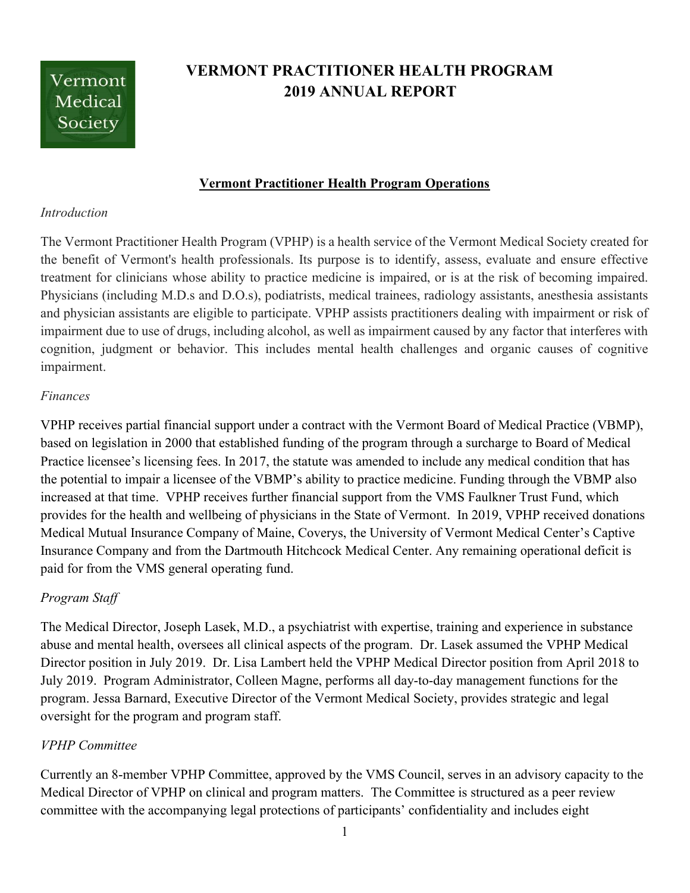

# VERMONT PRACTITIONER HEALTH PROGRAM 2019 ANNUAL REPORT

## Vermont Practitioner Health Program Operations

#### **Introduction**

The Vermont Practitioner Health Program (VPHP) is a health service of the Vermont Medical Society created for the benefit of Vermont's health professionals. Its purpose is to identify, assess, evaluate and ensure effective treatment for clinicians whose ability to practice medicine is impaired, or is at the risk of becoming impaired. Physicians (including M.D.s and D.O.s), podiatrists, medical trainees, radiology assistants, anesthesia assistants and physician assistants are eligible to participate. VPHP assists practitioners dealing with impairment or risk of impairment due to use of drugs, including alcohol, as well as impairment caused by any factor that interferes with cognition, judgment or behavior. This includes mental health challenges and organic causes of cognitive impairment.

### Finances

VPHP receives partial financial support under a contract with the Vermont Board of Medical Practice (VBMP), based on legislation in 2000 that established funding of the program through a surcharge to Board of Medical Practice licensee's licensing fees. In 2017, the statute was amended to include any medical condition that has the potential to impair a licensee of the VBMP's ability to practice medicine. Funding through the VBMP also increased at that time. VPHP receives further financial support from the VMS Faulkner Trust Fund, which provides for the health and wellbeing of physicians in the State of Vermont. In 2019, VPHP received donations Medical Mutual Insurance Company of Maine, Coverys, the University of Vermont Medical Center's Captive Insurance Company and from the Dartmouth Hitchcock Medical Center. Any remaining operational deficit is paid for from the VMS general operating fund.

### Program Staff

The Medical Director, Joseph Lasek, M.D., a psychiatrist with expertise, training and experience in substance abuse and mental health, oversees all clinical aspects of the program. Dr. Lasek assumed the VPHP Medical Director position in July 2019. Dr. Lisa Lambert held the VPHP Medical Director position from April 2018 to July 2019. Program Administrator, Colleen Magne, performs all day-to-day management functions for the program. Jessa Barnard, Executive Director of the Vermont Medical Society, provides strategic and legal oversight for the program and program staff.

### VPHP Committee

Currently an 8-member VPHP Committee, approved by the VMS Council, serves in an advisory capacity to the Medical Director of VPHP on clinical and program matters. The Committee is structured as a peer review committee with the accompanying legal protections of participants' confidentiality and includes eight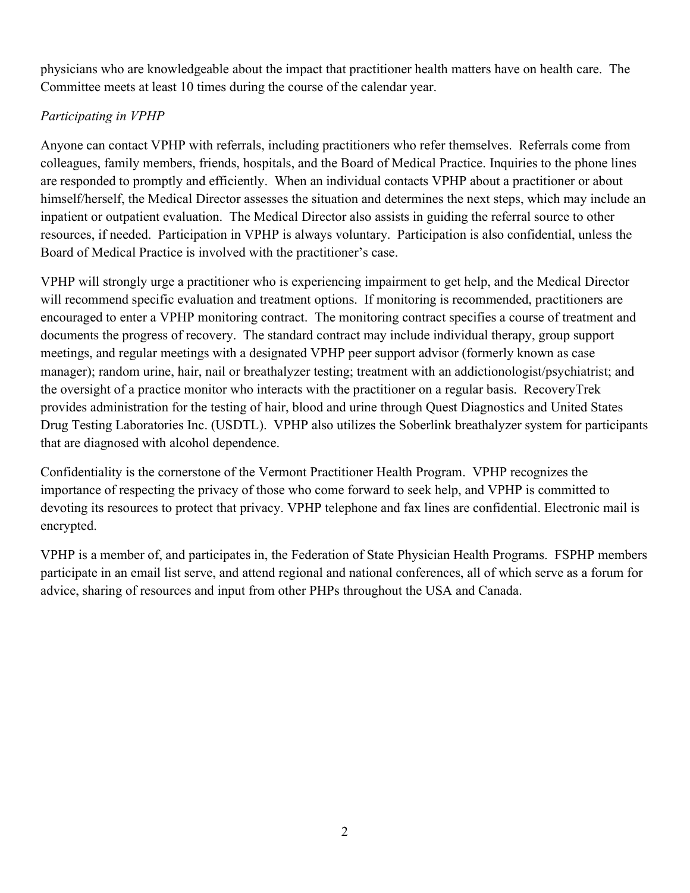physicians who are knowledgeable about the impact that practitioner health matters have on health care. The Committee meets at least 10 times during the course of the calendar year.

## Participating in VPHP

Anyone can contact VPHP with referrals, including practitioners who refer themselves. Referrals come from colleagues, family members, friends, hospitals, and the Board of Medical Practice. Inquiries to the phone lines are responded to promptly and efficiently. When an individual contacts VPHP about a practitioner or about himself/herself, the Medical Director assesses the situation and determines the next steps, which may include an inpatient or outpatient evaluation. The Medical Director also assists in guiding the referral source to other resources, if needed. Participation in VPHP is always voluntary. Participation is also confidential, unless the Board of Medical Practice is involved with the practitioner's case.

VPHP will strongly urge a practitioner who is experiencing impairment to get help, and the Medical Director will recommend specific evaluation and treatment options. If monitoring is recommended, practitioners are encouraged to enter a VPHP monitoring contract. The monitoring contract specifies a course of treatment and documents the progress of recovery. The standard contract may include individual therapy, group support meetings, and regular meetings with a designated VPHP peer support advisor (formerly known as case manager); random urine, hair, nail or breathalyzer testing; treatment with an addictionologist/psychiatrist; and the oversight of a practice monitor who interacts with the practitioner on a regular basis. RecoveryTrek provides administration for the testing of hair, blood and urine through Quest Diagnostics and United States Drug Testing Laboratories Inc. (USDTL). VPHP also utilizes the Soberlink breathalyzer system for participants that are diagnosed with alcohol dependence.

Confidentiality is the cornerstone of the Vermont Practitioner Health Program. VPHP recognizes the importance of respecting the privacy of those who come forward to seek help, and VPHP is committed to devoting its resources to protect that privacy. VPHP telephone and fax lines are confidential. Electronic mail is encrypted.

VPHP is a member of, and participates in, the Federation of State Physician Health Programs. FSPHP members participate in an email list serve, and attend regional and national conferences, all of which serve as a forum for advice, sharing of resources and input from other PHPs throughout the USA and Canada.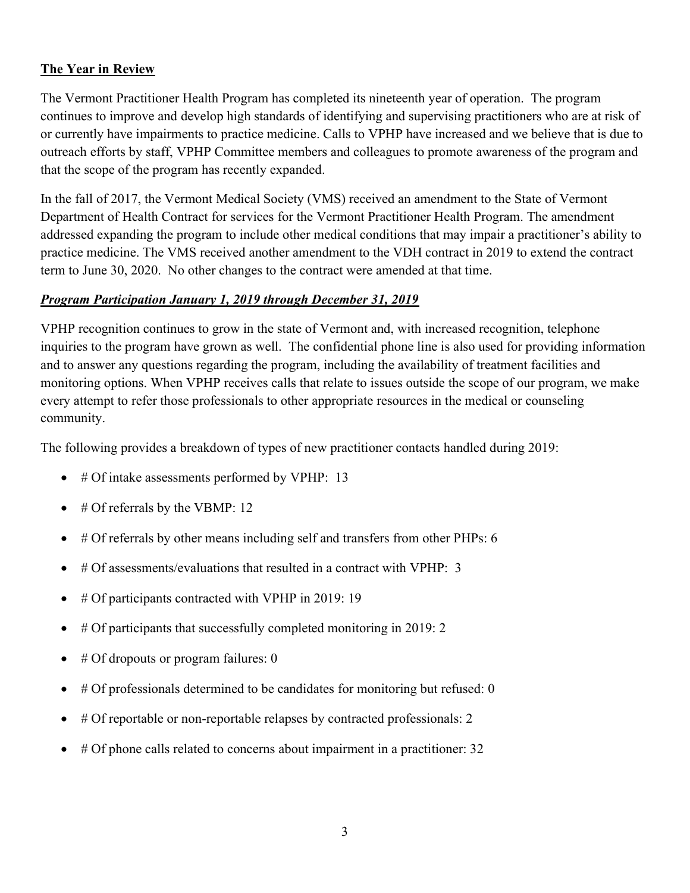## The Year in Review

The Vermont Practitioner Health Program has completed its nineteenth year of operation. The program continues to improve and develop high standards of identifying and supervising practitioners who are at risk of or currently have impairments to practice medicine. Calls to VPHP have increased and we believe that is due to outreach efforts by staff, VPHP Committee members and colleagues to promote awareness of the program and that the scope of the program has recently expanded.

In the fall of 2017, the Vermont Medical Society (VMS) received an amendment to the State of Vermont Department of Health Contract for services for the Vermont Practitioner Health Program. The amendment addressed expanding the program to include other medical conditions that may impair a practitioner's ability to practice medicine. The VMS received another amendment to the VDH contract in 2019 to extend the contract term to June 30, 2020. No other changes to the contract were amended at that time.

### Program Participation January 1, 2019 through December 31, 2019

VPHP recognition continues to grow in the state of Vermont and, with increased recognition, telephone inquiries to the program have grown as well. The confidential phone line is also used for providing information and to answer any questions regarding the program, including the availability of treatment facilities and monitoring options. When VPHP receives calls that relate to issues outside the scope of our program, we make every attempt to refer those professionals to other appropriate resources in the medical or counseling community.

The following provides a breakdown of types of new practitioner contacts handled during 2019:

- # Of intake assessments performed by VPHP: 13
- # Of referrals by the VBMP: 12
- # Of referrals by other means including self and transfers from other PHPs: 6
- # Of assessments/evaluations that resulted in a contract with VPHP: 3
- # Of participants contracted with VPHP in 2019: 19
- $\bullet\quad$  # Of participants that successfully completed monitoring in 2019: 2
- # Of dropouts or program failures: 0
- $\bullet$  # Of professionals determined to be candidates for monitoring but refused: 0
- # Of reportable or non-reportable relapses by contracted professionals: 2
- # Of phone calls related to concerns about impairment in a practitioner: 32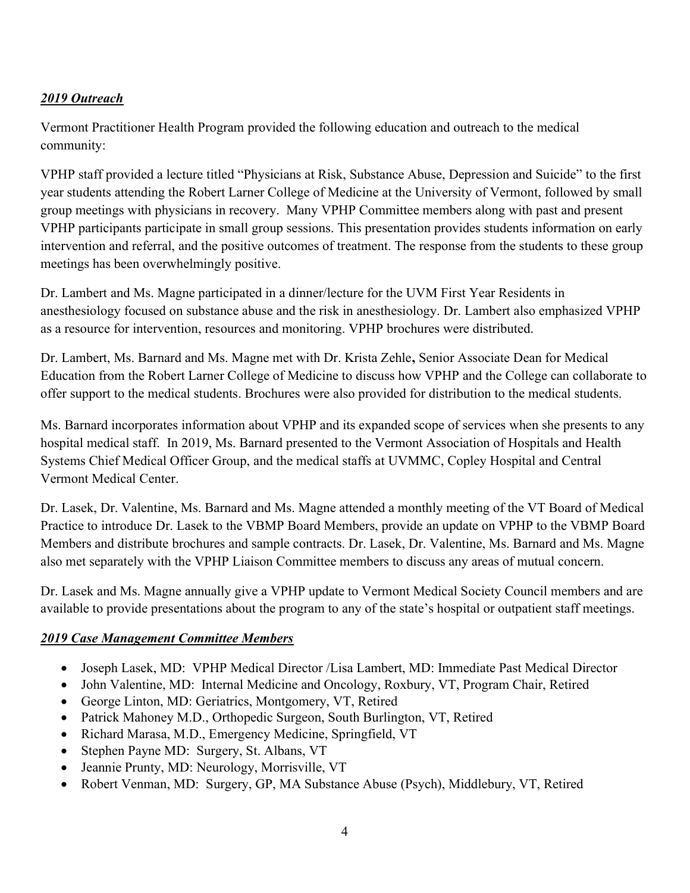## 2019 Outreach

Vermont Practitioner Health Program provided the following education and outreach to the medical community:

VPHP staff provided a lecture titled "Physicians at Risk, Substance Abuse, Depression and Suicide" to the first year students attending the Robert Larner College of Medicine at the University of Vermont, followed by small group meetings with physicians in recovery. Many VPHP Committee members along with past and present VPHP participants participate in small group sessions. This presentation provides students information on early intervention and referral, and the positive outcomes of treatment. The response from the students to these group meetings has been overwhelmingly positive.

Dr. Lambert and Ms. Magne participated in a dinner/lecture for the UVM First Year Residents in anesthesiology focused on substance abuse and the risk in anesthesiology. Dr. Lambert also emphasized VPHP as a resource for intervention, resources and monitoring. VPHP brochures were distributed.

Dr. Lambert, Ms. Barnard and Ms. Magne met with Dr. Krista Zehle, Senior Associate Dean for Medical Education from the Robert Larner College of Medicine to discuss how VPHP and the College can collaborate to offer support to the medical students. Brochures were also provided for distribution to the medical students.

Ms. Barnard incorporates information about VPHP and its expanded scope of services when she presents to any hospital medical staff. In 2019, Ms. Barnard presented to the Vermont Association of Hospitals and Health Systems Chief Medical Officer Group, and the medical staffs at UVMMC, Copley Hospital and Central Vermont Medical Center.

Dr. Lasek, Dr. Valentine, Ms. Barnard and Ms. Magne attended a monthly meeting of the VT Board of Medical Practice to introduce Dr. Lasek to the VBMP Board Members, provide an update on VPHP to the VBMP Board Members and distribute brochures and sample contracts. Dr. Lasek, Dr. Valentine, Ms. Barnard and Ms. Magne also met separately with the VPHP Liaison Committee members to discuss any areas of mutual concern.

Dr. Lasek and Ms. Magne annually give a VPHP update to Vermont Medical Society Council members and are available to provide presentations about the program to any of the state's hospital or outpatient staff meetings.

## 2019 Case Management Committee Members

- Joseph Lasek, MD: VPHP Medical Director /Lisa Lambert, MD: Immediate Past Medical Director
- John Valentine, MD: Internal Medicine and Oncology, Roxbury, VT, Program Chair, Retired
- George Linton, MD: Geriatrics, Montgomery, VT, Retired
- Patrick Mahoney M.D., Orthopedic Surgeon, South Burlington, VT, Retired
- Richard Marasa, M.D., Emergency Medicine, Springfield, VT
- Stephen Payne MD: Surgery, St. Albans, VT
- Jeannie Prunty, MD: Neurology, Morrisville, VT
- Robert Venman, MD: Surgery, GP, MA Substance Abuse (Psych), Middlebury, VT, Retired